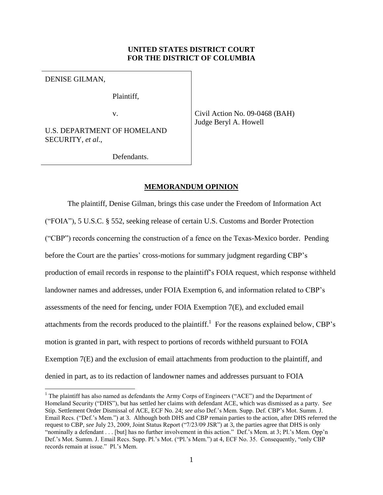# **UNITED STATES DISTRICT COURT FOR THE DISTRICT OF COLUMBIA**

DENISE GILMAN,

 $\overline{a}$ 

Plaintiff,

v.

U.S. DEPARTMENT OF HOMELAND SECURITY, *et al*.,

Civil Action No. 09-0468 (BAH) Judge Beryl A. Howell

Defendants.

## **MEMORANDUM OPINION**

The plaintiff, Denise Gilman, brings this case under the Freedom of Information Act ("FOIA"), 5 U.S.C. § 552, seeking release of certain U.S. Customs and Border Protection ("CBP") records concerning the construction of a fence on the Texas-Mexico border. Pending before the Court are the parties' cross-motions for summary judgment regarding CBP's production of email records in response to the plaintiff's FOIA request, which response withheld landowner names and addresses, under FOIA Exemption 6, and information related to CBP's assessments of the need for fencing, under FOIA Exemption 7(E), and excluded email attachments from the records produced to the plaintiff.<sup>1</sup> For the reasons explained below, CBP's motion is granted in part, with respect to portions of records withheld pursuant to FOIA Exemption 7(E) and the exclusion of email attachments from production to the plaintiff, and denied in part, as to its redaction of landowner names and addresses pursuant to FOIA

<sup>&</sup>lt;sup>1</sup> The plaintiff has also named as defendants the Army Corps of Engineers ("ACE") and the Department of Homeland Security ("DHS"), but has settled her claims with defendant ACE, which was dismissed as a party. S*ee*  Stip. Settlement Order Dismissal of ACE, ECF No. 24; *see also* Def.'s Mem. Supp. Def. CBP's Mot. Summ. J. Email Recs. ("Def.'s Mem.") at 3. Although both DHS and CBP remain parties to the action, after DHS referred the request to CBP, *see* July 23, 2009, Joint Status Report ("7/23/09 JSR") at 3, the parties agree that DHS is only "nominally a defendant . . . [but] has no further involvement in this action." Def.'s Mem. at 3; Pl.'s Mem. Opp'n Def.'s Mot. Summ. J. Email Recs. Supp. Pl.'s Mot. ("Pl.'s Mem.") at 4, ECF No. 35. Consequently, "only CBP records remain at issue." Pl.'s Mem.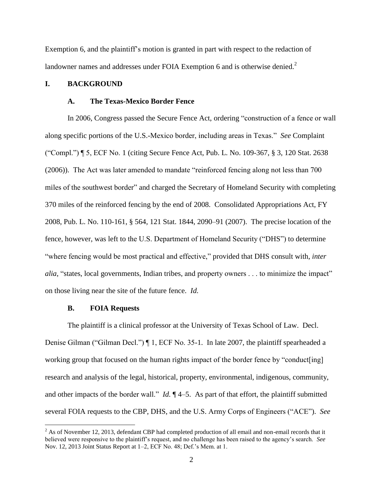Exemption 6, and the plaintiff's motion is granted in part with respect to the redaction of landowner names and addresses under FOIA Exemption 6 and is otherwise denied.<sup>2</sup>

# **I. BACKGROUND**

#### **A. The Texas-Mexico Border Fence**

In 2006, Congress passed the Secure Fence Act, ordering "construction of a fence or wall along specific portions of the U.S.-Mexico border, including areas in Texas." *See* Complaint ("Compl.") ¶ 5, ECF No. 1 (citing Secure Fence Act, Pub. L. No. 109-367, § 3, 120 Stat. 2638 (2006)). The Act was later amended to mandate "reinforced fencing along not less than 700 miles of the southwest border" and charged the Secretary of Homeland Security with completing 370 miles of the reinforced fencing by the end of 2008. Consolidated Appropriations Act, FY 2008, Pub. L. No. 110-161, § 564, 121 Stat. 1844, 2090–91 (2007). The precise location of the fence, however, was left to the U.S. Department of Homeland Security ("DHS") to determine "where fencing would be most practical and effective," provided that DHS consult with, *inter alia*, "states, local governments, Indian tribes, and property owners . . . to minimize the impact" on those living near the site of the future fence. *Id.*

## **B. FOIA Requests**

 $\overline{a}$ 

The plaintiff is a clinical professor at the University of Texas School of Law. Decl. Denise Gilman ("Gilman Decl.") ¶ 1, ECF No. 35-1. In late 2007, the plaintiff spearheaded a working group that focused on the human rights impact of the border fence by "conduct[ing] research and analysis of the legal, historical, property, environmental, indigenous, community, and other impacts of the border wall." *Id.*  $\P$ 4–5. As part of that effort, the plaintiff submitted several FOIA requests to the CBP, DHS, and the U.S. Army Corps of Engineers ("ACE"). *See*

<sup>&</sup>lt;sup>2</sup> As of November 12, 2013, defendant CBP had completed production of all email and non-email records that it believed were responsive to the plaintiff's request, and no challenge has been raised to the agency's search. *See* Nov. 12, 2013 Joint Status Report at 1–2, ECF No. 48; Def.'s Mem. at 1.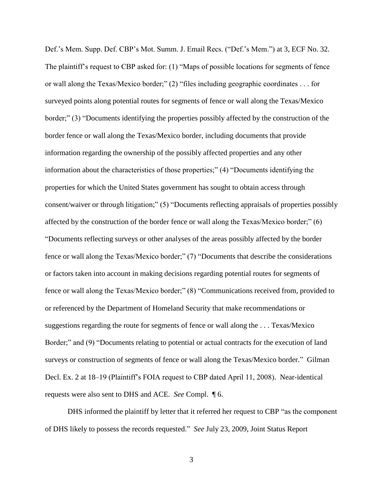Def.'s Mem. Supp. Def. CBP's Mot. Summ. J. Email Recs. ("Def.'s Mem.") at 3, ECF No. 32. The plaintiff's request to CBP asked for: (1) "Maps of possible locations for segments of fence or wall along the Texas/Mexico border;" (2) "files including geographic coordinates . . . for surveyed points along potential routes for segments of fence or wall along the Texas/Mexico border;" (3) "Documents identifying the properties possibly affected by the construction of the border fence or wall along the Texas/Mexico border, including documents that provide information regarding the ownership of the possibly affected properties and any other information about the characteristics of those properties;" (4) "Documents identifying the properties for which the United States government has sought to obtain access through consent/waiver or through litigation;" (5) "Documents reflecting appraisals of properties possibly affected by the construction of the border fence or wall along the Texas/Mexico border;" (6) "Documents reflecting surveys or other analyses of the areas possibly affected by the border fence or wall along the Texas/Mexico border;" (7) "Documents that describe the considerations or factors taken into account in making decisions regarding potential routes for segments of fence or wall along the Texas/Mexico border;" (8) "Communications received from, provided to or referenced by the Department of Homeland Security that make recommendations or suggestions regarding the route for segments of fence or wall along the . . . Texas/Mexico Border;" and (9) "Documents relating to potential or actual contracts for the execution of land surveys or construction of segments of fence or wall along the Texas/Mexico border." Gilman Decl. Ex. 2 at 18–19 (Plaintiff's FOIA request to CBP dated April 11, 2008). Near-identical requests were also sent to DHS and ACE. *See* Compl. ¶ 6.

DHS informed the plaintiff by letter that it referred her request to CBP "as the component of DHS likely to possess the records requested." *See* July 23, 2009, Joint Status Report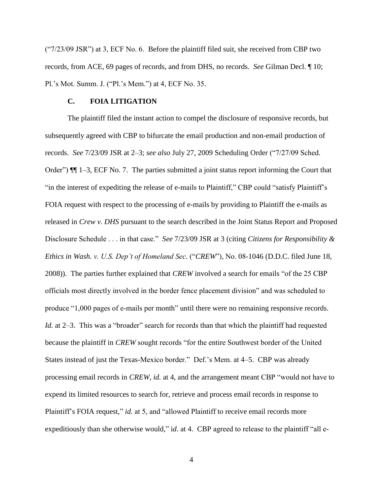$("7/23/09$  JSR") at 3, ECF No. 6. Before the plaintiff filed suit, she received from CBP two records, from ACE, 69 pages of records, and from DHS, no records. *See* Gilman Decl. ¶ 10; Pl.'s Mot. Summ. J. ("Pl.'s Mem.") at 4, ECF No. 35.

## **C. FOIA LITIGATION**

The plaintiff filed the instant action to compel the disclosure of responsive records, but subsequently agreed with CBP to bifurcate the email production and non-email production of records. *See* 7/23/09 JSR at 2–3; *see also* July 27, 2009 Scheduling Order ("7/27/09 Sched. Order") ¶¶ 1–3, ECF No. 7. The parties submitted a joint status report informing the Court that "in the interest of expediting the release of e-mails to Plaintiff," CBP could "satisfy Plaintiff's FOIA request with respect to the processing of e-mails by providing to Plaintiff the e-mails as released in *Crew v. DHS* pursuant to the search described in the Joint Status Report and Proposed Disclosure Schedule . . . in that case." *See* 7/23/09 JSR at 3 (citing *Citizens for Responsibility & Ethics in Wash. v. U.S. Dep't of Homeland Sec.* ("*CREW*"), No. 08-1046 (D.D.C. filed June 18, 2008)). The parties further explained that *CREW* involved a search for emails "of the 25 CBP officials most directly involved in the border fence placement division" and was scheduled to produce "1,000 pages of e-mails per month" until there were no remaining responsive records. *Id.* at 2–3. This was a "broader" search for records than that which the plaintiff had requested because the plaintiff in *CREW* sought records "for the entire Southwest border of the United States instead of just the Texas-Mexico border." Def.'s Mem. at 4–5. CBP was already processing email records in *CREW*, *id.* at 4, and the arrangement meant CBP "would not have to expend its limited resources to search for, retrieve and process email records in response to Plaintiff's FOIA request," *id.* at 5, and "allowed Plaintiff to receive email records more expeditiously than she otherwise would," i*d*. at 4. CBP agreed to release to the plaintiff "all e-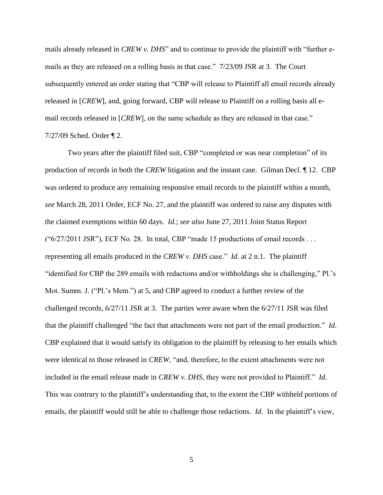mails already released in *CREW v. DHS*" and to continue to provide the plaintiff with "further emails as they are released on a rolling basis in that case." 7/23/09 JSR at 3. The Court subsequently entered an order stating that "CBP will release to Plaintiff all email records already released in [*CREW*], and, going forward, CBP will release to Plaintiff on a rolling basis all email records released in [*CREW*], on the same schedule as they are released in that case." 7/27/09 Sched. Order ¶ 2.

Two years after the plaintiff filed suit, CBP "completed or was near completion" of its production of records in both the *CREW* litigation and the instant case. Gilman Decl. ¶ 12. CBP was ordered to produce any remaining responsive email records to the plaintiff within a month, *see* March 28, 2011 Order, ECF No. 27, and the plaintiff was ordered to raise any disputes with the claimed exemptions within 60 days. *Id.*; *see also* June 27, 2011 Joint Status Report ("6/27/2011 JSR"), ECF No. 28. In total, CBP "made 15 productions of email records . . . representing all emails produced in the *CREW v. DHS* case." *Id.* at 2 n.1. The plaintiff "identified for CBP the 289 emails with redactions and/or withholdings she is challenging," Pl.'s Mot. Summ. J. ("Pl.'s Mem.") at 5, and CBP agreed to conduct a further review of the challenged records, 6/27/11 JSR at 3. The parties were aware when the 6/27/11 JSR was filed that the plaintiff challenged "the fact that attachments were not part of the email production." *Id*. CBP explained that it would satisfy its obligation to the plaintiff by releasing to her emails which were identical to those released in *CREW*, "and, therefore, to the extent attachments were not included in the email release made in *CREW v. DHS*, they were not provided to Plaintiff." *Id.* This was contrary to the plaintiff's understanding that, to the extent the CBP withheld portions of emails, the plaintiff would still be able to challenge those redactions. *Id.* In the plaintiff's view,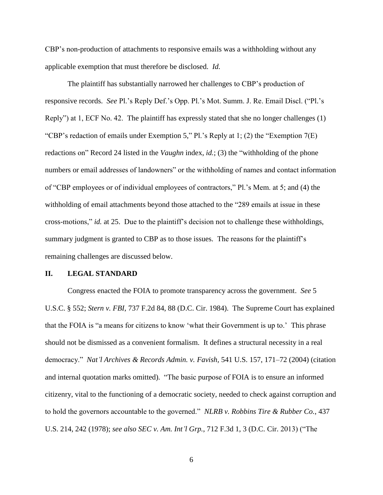CBP's non-production of attachments to responsive emails was a withholding without any applicable exemption that must therefore be disclosed. *Id.*

The plaintiff has substantially narrowed her challenges to CBP's production of responsive records. *See* Pl.'s Reply Def.'s Opp. Pl.'s Mot. Summ. J. Re. Email Discl. ("Pl.'s Reply") at 1, ECF No. 42. The plaintiff has expressly stated that she no longer challenges (1) "CBP's redaction of emails under Exemption 5," Pl.'s Reply at 1; (2) the "Exemption  $7(E)$ redactions on" Record 24 listed in the *Vaughn* index, *id.*; (3) the "withholding of the phone numbers or email addresses of landowners" or the withholding of names and contact information of "CBP employees or of individual employees of contractors," Pl.'s Mem. at 5; and (4) the withholding of email attachments beyond those attached to the "289 emails at issue in these cross-motions," *id.* at 25. Due to the plaintiff's decision not to challenge these withholdings, summary judgment is granted to CBP as to those issues. The reasons for the plaintiff's remaining challenges are discussed below.

#### **II. LEGAL STANDARD**

Congress enacted the FOIA to promote transparency across the government. *See* 5 U.S.C. § 552; *Stern v. FBI*, 737 F.2d 84, 88 (D.C. Cir. 1984). The Supreme Court has explained that the FOIA is "a means for citizens to know 'what their Government is up to.' This phrase should not be dismissed as a convenient formalism. It defines a structural necessity in a real democracy." *Nat'l Archives & Records Admin. v. Favish,* 541 U.S. 157, 171–72 (2004) (citation and internal quotation marks omitted). "The basic purpose of FOIA is to ensure an informed citizenry, vital to the functioning of a democratic society, needed to check against corruption and to hold the governors accountable to the governed." *NLRB v. Robbins Tire & Rubber Co.*, 437 U.S. 214, 242 (1978); *see also SEC v. Am. Int'l Grp.*, 712 F.3d 1, 3 (D.C. Cir. 2013) ("The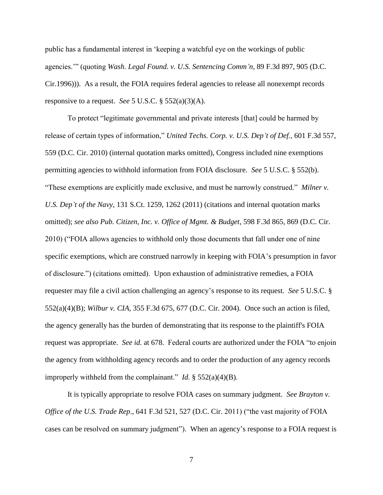public has a fundamental interest in 'keeping a watchful eye on the workings of public agencies.'" (quoting *Wash. Legal Found. v. U.S. Sentencing Comm'n*, 89 F.3d 897, 905 (D.C. Cir.1996))). As a result, the FOIA requires federal agencies to release all nonexempt records responsive to a request. *See* 5 U.S.C. § 552(a)(3)(A).

To protect "legitimate governmental and private interests [that] could be harmed by release of certain types of information," *United Techs. Corp. v. U.S. Dep't of Def.,* 601 F.3d 557, 559 (D.C. Cir. 2010) (internal quotation marks omitted), Congress included nine exemptions permitting agencies to withhold information from FOIA disclosure. *See* 5 U.S.C. § 552(b). "These exemptions are explicitly made exclusive, and must be narrowly construed." *Milner v. U.S. Dep't of the Navy*, 131 S.Ct. 1259, 1262 (2011) (citations and internal quotation marks omitted); *see also Pub. Citizen, Inc. v. Office of Mgmt. & Budget*, 598 F.3d 865, 869 (D.C. Cir. 2010) ("FOIA allows agencies to withhold only those documents that fall under one of nine specific exemptions, which are construed narrowly in keeping with FOIA's presumption in favor of disclosure.") (citations omitted). Upon exhaustion of administrative remedies, a FOIA requester may file a civil action challenging an agency's response to its request. *See* 5 U.S.C. § 552(a)(4)(B); *Wilbur v. CIA*, 355 F.3d 675, 677 (D.C. Cir. 2004). Once such an action is filed, the agency generally has the burden of demonstrating that its response to the plaintiff's FOIA request was appropriate. *See id.* at 678. Federal courts are authorized under the FOIA "to enjoin the agency from withholding agency records and to order the production of any agency records improperly withheld from the complainant." *Id.* § 552(a)(4)(B).

It is typically appropriate to resolve FOIA cases on summary judgment. *See Brayton v. Office of the U.S. Trade Rep*., 641 F.3d 521, 527 (D.C. Cir. 2011) ("the vast majority of FOIA cases can be resolved on summary judgment"). When an agency's response to a FOIA request is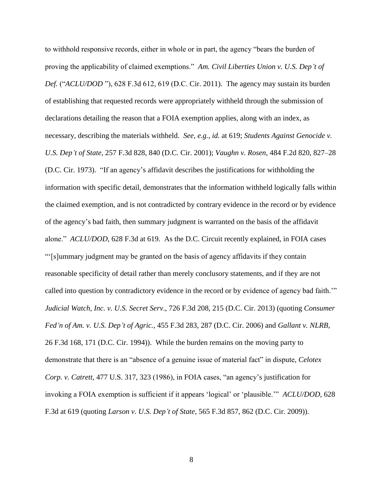to withhold responsive records, either in whole or in part, the agency "bears the burden of proving the applicability of claimed exemptions." *Am. Civil Liberties Union v. U.S. Dep't of Def.* ("*ACLU/DOD* "), 628 F.3d 612, 619 (D.C. Cir. 2011). The agency may sustain its burden of establishing that requested records were appropriately withheld through the submission of declarations detailing the reason that a FOIA exemption applies, along with an index, as necessary, describing the materials withheld. *See, e.g.*, *id.* at 619; *Students Against Genocide v. U.S. Dep't of State*, 257 F.3d 828, 840 (D.C. Cir. 2001); *Vaughn v. Rosen*, 484 F.2d 820, 827–28 (D.C. Cir. 1973). "If an agency's affidavit describes the justifications for withholding the information with specific detail, demonstrates that the information withheld logically falls within the claimed exemption, and is not contradicted by contrary evidence in the record or by evidence of the agency's bad faith, then summary judgment is warranted on the basis of the affidavit alone." *ACLU/DOD*, 628 F.3d at 619. As the D.C. Circuit recently explained, in FOIA cases "'[s]ummary judgment may be granted on the basis of agency affidavits if they contain reasonable specificity of detail rather than merely conclusory statements, and if they are not called into question by contradictory evidence in the record or by evidence of agency bad faith.'" *Judicial Watch, Inc. v. U.S. Secret Serv*., 726 F.3d 208, 215 (D.C. Cir. 2013) (quoting *Consumer Fed'n of Am. v. U.S. Dep't of Agric.*, 455 F.3d 283, 287 (D.C. Cir. 2006) and *Gallant v. NLRB*, 26 F.3d 168, 171 (D.C. Cir. 1994)). While the burden remains on the moving party to demonstrate that there is an "absence of a genuine issue of material fact" in dispute, *Celotex Corp. v. Catrett*, 477 U.S. 317, 323 (1986), in FOIA cases, "an agency's justification for invoking a FOIA exemption is sufficient if it appears 'logical' or 'plausible.'" *ACLU/DOD*, 628 F.3d at 619 (quoting *Larson v. U.S. Dep't of State*, 565 F.3d 857, 862 (D.C. Cir. 2009)).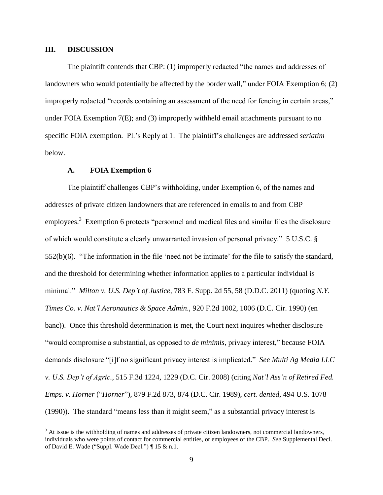## **III. DISCUSSION**

 $\overline{a}$ 

The plaintiff contends that CBP: (1) improperly redacted "the names and addresses of landowners who would potentially be affected by the border wall," under FOIA Exemption 6; (2) improperly redacted "records containing an assessment of the need for fencing in certain areas," under FOIA Exemption 7(E); and (3) improperly withheld email attachments pursuant to no specific FOIA exemption. Pl.'s Reply at 1. The plaintiff's challenges are addressed *seriatim*  below.

#### **A. FOIA Exemption 6**

The plaintiff challenges CBP's withholding, under Exemption 6, of the names and addresses of private citizen landowners that are referenced in emails to and from CBP employees.<sup>3</sup> Exemption 6 protects "personnel and medical files and similar files the disclosure of which would constitute a clearly unwarranted invasion of personal privacy." 5 U.S.C. § 552(b)(6). "The information in the file 'need not be intimate' for the file to satisfy the standard, and the threshold for determining whether information applies to a particular individual is minimal." *Milton v. U.S. Dep't of Justice,* 783 F. Supp. 2d 55, 58 (D.D.C. 2011) (quoting *N.Y. Times Co. v. Nat'l Aeronautics & Space Admin*., 920 F.2d 1002, 1006 (D.C. Cir. 1990) (en banc)). Once this threshold determination is met, the Court next inquires whether disclosure "would compromise a substantial, as opposed to *de minimis*, privacy interest," because FOIA demands disclosure "[i]f no significant privacy interest is implicated." *See Multi Ag Media LLC v. U.S. Dep't of Agric.*, 515 F.3d 1224, 1229 (D.C. Cir. 2008) (citing *Nat'l Ass'n of Retired Fed. Emps. v. Horner* ("*Horner*")*,* 879 F.2d 873, 874 (D.C. Cir. 1989), *cert. denied,* 494 U.S. 1078 (1990)). The standard "means less than it might seem," as a substantial privacy interest is

<sup>&</sup>lt;sup>3</sup> At issue is the withholding of names and addresses of private citizen landowners, not commercial landowners, individuals who were points of contact for commercial entities, or employees of the CBP. *See* Supplemental Decl. of David E. Wade ("Suppl. Wade Decl.") ¶ 15 & n.1.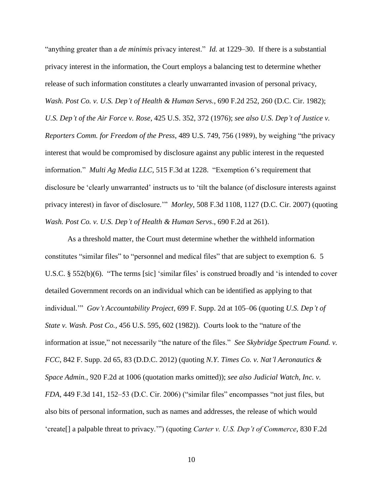"anything greater than a *de minimis* privacy interest." *Id.* at 1229–30. If there is a substantial privacy interest in the information, the Court employs a balancing test to determine whether release of such information constitutes a clearly unwarranted invasion of personal privacy, *Wash. Post Co. v. U.S. Dep't of Health & Human Servs.*, 690 F.2d 252, 260 (D.C. Cir. 1982); *U.S. Dep't of the Air Force v. Rose*, 425 U.S. 352, 372 (1976); *see also U.S. Dep't of Justice v. Reporters Comm. for Freedom of the Press*, 489 U.S. 749, 756 (1989), by weighing "the privacy interest that would be compromised by disclosure against any public interest in the requested information." *Multi Ag Media LLC*, 515 F.3d at 1228."Exemption 6's requirement that disclosure be 'clearly unwarranted' instructs us to 'tilt the balance (of disclosure interests against privacy interest) in favor of disclosure.'" *Morley*, 508 F.3d 1108, 1127 (D.C. Cir. 2007) (quoting *Wash. Post Co. v. U.S. Dep't of Health & Human Servs*., 690 F.2d at 261).

As a threshold matter, the Court must determine whether the withheld information constitutes "similar files" to "personnel and medical files" that are subject to exemption 6. 5 U.S.C. § 552(b)(6). "The terms [sic] 'similar files' is construed broadly and 'is intended to cover detailed Government records on an individual which can be identified as applying to that individual.'" *Gov't Accountability Project*, 699 F. Supp. 2d at 105–06 (quoting *U.S. Dep't of State v. Wash. Post Co.,* 456 U.S. 595, 602 (1982)). Courts look to the "nature of the information at issue," not necessarily "the nature of the files." *See Skybridge Spectrum Found. v. FCC*, 842 F. Supp. 2d 65, 83 (D.D.C. 2012) (quoting *N.Y. Times Co. v. Nat'l Aeronautics & Space Admin.,* 920 F.2d at 1006 (quotation marks omitted)); *see also Judicial Watch, Inc. v. FDA*, 449 F.3d 141, 152–53 (D.C. Cir. 2006) ("similar files" encompasses "not just files, but also bits of personal information, such as names and addresses, the release of which would 'create[] a palpable threat to privacy.'") (quoting *Carter v. U.S. Dep't of Commerce*, 830 F.2d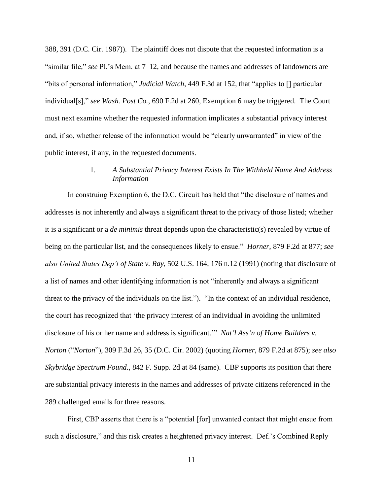388, 391 (D.C. Cir. 1987)). The plaintiff does not dispute that the requested information is a "similar file," *see* Pl.'s Mem. at 7–12, and because the names and addresses of landowners are "bits of personal information," *Judicial Watch*, 449 F.3d at 152, that "applies to [] particular individual[s]," *see Wash. Post Co.*, 690 F.2d at 260, Exemption 6 may be triggered. The Court must next examine whether the requested information implicates a substantial privacy interest and, if so, whether release of the information would be "clearly unwarranted" in view of the public interest, if any, in the requested documents.

# 1. *A Substantial Privacy Interest Exists In The Withheld Name And Address Information*

In construing Exemption 6, the D.C. Circuit has held that "the disclosure of names and addresses is not inherently and always a significant threat to the privacy of those listed; whether it is a significant or a *de minimis* threat depends upon the characteristic(s) revealed by virtue of being on the particular list, and the consequences likely to ensue." *Horner*, 879 F.2d at 877; *see also United States Dep't of State v. Ray*, 502 U.S. 164, 176 n.12 (1991) (noting that disclosure of a list of names and other identifying information is not "inherently and always a significant threat to the privacy of the individuals on the list."). "In the context of an individual residence, the court has recognized that 'the privacy interest of an individual in avoiding the unlimited disclosure of his or her name and address is significant.'" *Nat'l Ass'n of Home Builders v. Norton* ("*Norton*"), 309 F.3d 26, 35 (D.C. Cir. 2002) (quoting *Horner*, 879 F.2d at 875); *see also Skybridge Spectrum Found.*, 842 F. Supp. 2d at 84 (same). CBP supports its position that there are substantial privacy interests in the names and addresses of private citizens referenced in the 289 challenged emails for three reasons.

First, CBP asserts that there is a "potential [for] unwanted contact that might ensue from such a disclosure," and this risk creates a heightened privacy interest. Def.'s Combined Reply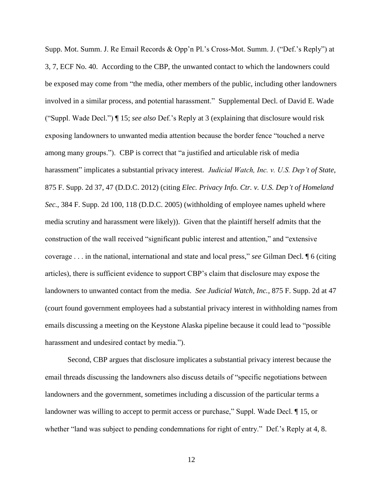Supp. Mot. Summ. J. Re Email Records & Opp'n Pl.'s Cross-Mot. Summ. J. ("Def.'s Reply") at 3, 7, ECF No. 40. According to the CBP, the unwanted contact to which the landowners could be exposed may come from "the media, other members of the public, including other landowners involved in a similar process, and potential harassment." Supplemental Decl. of David E. Wade ("Suppl. Wade Decl.") ¶ 15; *see also* Def.'s Reply at 3 (explaining that disclosure would risk exposing landowners to unwanted media attention because the border fence "touched a nerve among many groups."). CBP is correct that "a justified and articulable risk of media harassment" implicates a substantial privacy interest. *Judicial Watch, Inc. v. U.S. Dep't of State*, 875 F. Supp. 2d 37, 47 (D.D.C. 2012) (citing *Elec. Privacy Info. Ctr. v. U.S. Dep't of Homeland Sec.*, 384 F. Supp. 2d 100, 118 (D.D.C. 2005) (withholding of employee names upheld where media scrutiny and harassment were likely)). Given that the plaintiff herself admits that the construction of the wall received "significant public interest and attention," and "extensive coverage . . . in the national, international and state and local press," *see* Gilman Decl. ¶ 6 (citing articles), there is sufficient evidence to support CBP's claim that disclosure may expose the landowners to unwanted contact from the media. *See Judicial Watch, Inc.*, 875 F. Supp. 2d at 47 (court found government employees had a substantial privacy interest in withholding names from emails discussing a meeting on the Keystone Alaska pipeline because it could lead to "possible harassment and undesired contact by media.").

Second, CBP argues that disclosure implicates a substantial privacy interest because the email threads discussing the landowners also discuss details of "specific negotiations between landowners and the government, sometimes including a discussion of the particular terms a landowner was willing to accept to permit access or purchase," Suppl. Wade Decl. ¶ 15, or whether "land was subject to pending condemnations for right of entry." Def.'s Reply at 4, 8.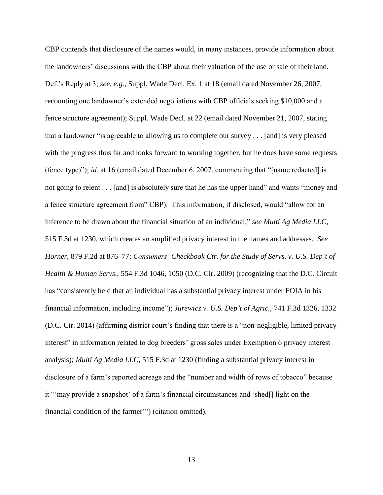CBP contends that disclosure of the names would, in many instances, provide information about the landowners' discussions with the CBP about their valuation of the use or sale of their land. Def.'s Reply at 3; *see, e.g.*, Suppl. Wade Decl. Ex. 1 at 18 (email dated November 26, 2007, recounting one landowner's extended negotiations with CBP officials seeking \$10,000 and a fence structure agreement); Suppl. Wade Decl. at 22 (email dated November 21, 2007, stating that a landowner "is agreeable to allowing us to complete our survey . . . [and] is very pleased with the progress thus far and looks forward to working together, but he does have some requests (fence type)"); *id.* at 16 (email dated December 6, 2007, commenting that "[name redacted] is not going to relent . . . [and] is absolutely sure that he has the upper hand" and wants "money and a fence structure agreement from" CBP). This information, if disclosed, would "allow for an inference to be drawn about the financial situation of an individual," *see Multi Ag Media LLC*, 515 F.3d at 1230, which creates an amplified privacy interest in the names and addresses. *See Horner*, 879 F.2d at 876–77; *Consumers' Checkbook Ctr. for the Study of Servs. v. U.S. Dep't of Health & Human Servs.*, 554 F.3d 1046, 1050 (D.C. Cir. 2009) (recognizing that the D.C. Circuit has "consistently held that an individual has a substantial privacy interest under FOIA in his financial information, including income"); *Jurewicz v. U.S. Dep't of Agric.*, 741 F.3d 1326, 1332 (D.C. Cir. 2014) (affirming district court's finding that there is a "non-negligible, limited privacy interest" in information related to dog breeders' gross sales under Exemption 6 privacy interest analysis); *Multi Ag Media LLC*, 515 F.3d at 1230 (finding a substantial privacy interest in disclosure of a farm's reported acreage and the "number and width of rows of tobacco" because it "'may provide a snapshot' of a farm's financial circumstances and 'shed[] light on the financial condition of the farmer'") (citation omitted).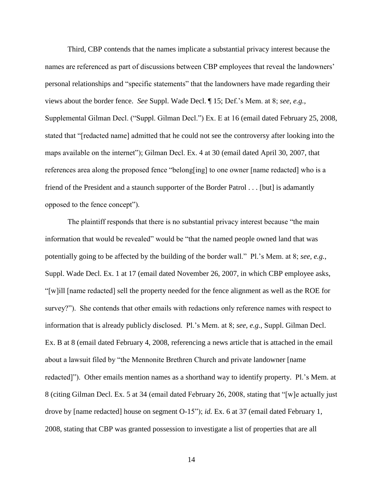Third, CBP contends that the names implicate a substantial privacy interest because the names are referenced as part of discussions between CBP employees that reveal the landowners' personal relationships and "specific statements" that the landowners have made regarding their views about the border fence. *See* Suppl. Wade Decl. ¶ 15; Def.'s Mem. at 8; *see, e.g.*, Supplemental Gilman Decl. ("Suppl. Gilman Decl.") Ex. E at 16 (email dated February 25, 2008, stated that "[redacted name] admitted that he could not see the controversy after looking into the maps available on the internet"); Gilman Decl. Ex. 4 at 30 (email dated April 30, 2007, that references area along the proposed fence "belong[ing] to one owner [name redacted] who is a friend of the President and a staunch supporter of the Border Patrol . . . [but] is adamantly opposed to the fence concept").

The plaintiff responds that there is no substantial privacy interest because "the main information that would be revealed" would be "that the named people owned land that was potentially going to be affected by the building of the border wall." Pl.'s Mem. at 8; *see, e.g.*, Suppl. Wade Decl. Ex. 1 at 17 (email dated November 26, 2007, in which CBP employee asks, "[w]ill [name redacted] sell the property needed for the fence alignment as well as the ROE for survey?"). She contends that other emails with redactions only reference names with respect to information that is already publicly disclosed. Pl.'s Mem. at 8; *see, e.g.*, Suppl. Gilman Decl. Ex. B at 8 (email dated February 4, 2008, referencing a news article that is attached in the email about a lawsuit filed by "the Mennonite Brethren Church and private landowner [name redacted]"). Other emails mention names as a shorthand way to identify property. Pl.'s Mem. at 8 (citing Gilman Decl. Ex. 5 at 34 (email dated February 26, 2008, stating that "[w]e actually just drove by [name redacted] house on segment O-15"); *id.* Ex. 6 at 37 (email dated February 1, 2008, stating that CBP was granted possession to investigate a list of properties that are all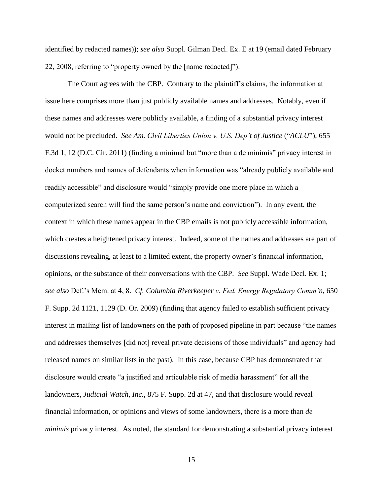identified by redacted names)); *see also* Suppl. Gilman Decl. Ex. E at 19 (email dated February 22, 2008, referring to "property owned by the [name redacted]").

The Court agrees with the CBP. Contrary to the plaintiff's claims, the information at issue here comprises more than just publicly available names and addresses. Notably, even if these names and addresses were publicly available, a finding of a substantial privacy interest would not be precluded. *See Am. Civil Liberties Union v. U.S. Dep't of Justice* ("*ACLU*"), 655 F.3d 1, 12 (D.C. Cir. 2011) (finding a minimal but "more than a de minimis" privacy interest in docket numbers and names of defendants when information was "already publicly available and readily accessible" and disclosure would "simply provide one more place in which a computerized search will find the same person's name and conviction"). In any event, the context in which these names appear in the CBP emails is not publicly accessible information, which creates a heightened privacy interest. Indeed, some of the names and addresses are part of discussions revealing, at least to a limited extent, the property owner's financial information, opinions, or the substance of their conversations with the CBP. *See* Suppl. Wade Decl. Ex. 1; *see also* Def.'s Mem. at 4, 8. *Cf. Columbia Riverkeeper v. Fed. Energy Regulatory Comm'n*, 650 F. Supp. 2d 1121, 1129 (D. Or. 2009) (finding that agency failed to establish sufficient privacy interest in mailing list of landowners on the path of proposed pipeline in part because "the names and addresses themselves [did not] reveal private decisions of those individuals" and agency had released names on similar lists in the past). In this case, because CBP has demonstrated that disclosure would create "a justified and articulable risk of media harassment" for all the landowners, *Judicial Watch, Inc.*, 875 F. Supp. 2d at 47, and that disclosure would reveal financial information, or opinions and views of some landowners, there is a more than *de minimis* privacy interest. As noted, the standard for demonstrating a substantial privacy interest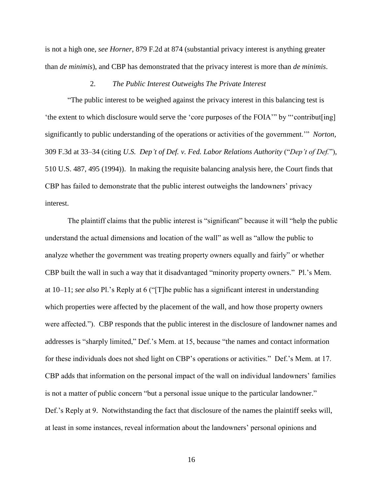is not a high one, *see Horner*, 879 F.2d at 874 (substantial privacy interest is anything greater than *de minimis*), and CBP has demonstrated that the privacy interest is more than *de minimis*.

# 2. *The Public Interest Outweighs The Private Interest*

"The public interest to be weighed against the privacy interest in this balancing test is 'the extent to which disclosure would serve the 'core purposes of the FOIA'" by "'contribut[ing] significantly to public understanding of the operations or activities of the government.'" *Norton*, 309 F.3d at 33–34 (citing *U.S. Dep't of Def. v. Fed. Labor Relations Authority* ("*Dep't of Def.*")*,* 510 U.S. 487, 495 (1994)). In making the requisite balancing analysis here, the Court finds that CBP has failed to demonstrate that the public interest outweighs the landowners' privacy interest.

The plaintiff claims that the public interest is "significant" because it will "help the public understand the actual dimensions and location of the wall" as well as "allow the public to analyze whether the government was treating property owners equally and fairly" or whether CBP built the wall in such a way that it disadvantaged "minority property owners." Pl.'s Mem. at 10–11; *see also* Pl.'s Reply at 6 ("[T]he public has a significant interest in understanding which properties were affected by the placement of the wall, and how those property owners were affected."). CBP responds that the public interest in the disclosure of landowner names and addresses is "sharply limited," Def.'s Mem. at 15, because "the names and contact information for these individuals does not shed light on CBP's operations or activities." Def.'s Mem. at 17. CBP adds that information on the personal impact of the wall on individual landowners' families is not a matter of public concern "but a personal issue unique to the particular landowner." Def.'s Reply at 9. Notwithstanding the fact that disclosure of the names the plaintiff seeks will, at least in some instances, reveal information about the landowners' personal opinions and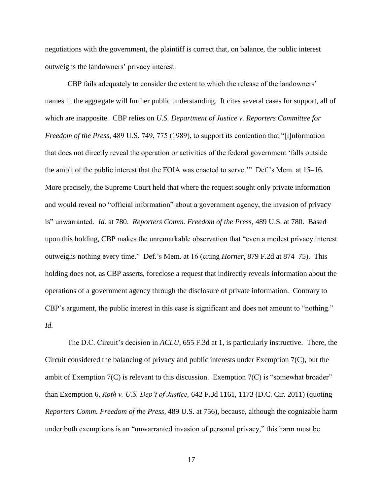negotiations with the government, the plaintiff is correct that, on balance, the public interest outweighs the landowners' privacy interest.

CBP fails adequately to consider the extent to which the release of the landowners' names in the aggregate will further public understanding. It cites several cases for support, all of which are inapposite. CBP relies on *U.S. Department of Justice v. Reporters Committee for Freedom of the Press*, 489 U.S. 749, 775 (1989), to support its contention that "[i]nformation that does not directly reveal the operation or activities of the federal government 'falls outside the ambit of the public interest that the FOIA was enacted to serve.'" Def.'s Mem. at 15–16. More precisely, the Supreme Court held that where the request sought only private information and would reveal no "official information" about a government agency, the invasion of privacy is" unwarranted. *Id.* at 780. *Reporters Comm. Freedom of the Press*, 489 U.S. at 780. Based upon this holding, CBP makes the unremarkable observation that "even a modest privacy interest outweighs nothing every time." Def.'s Mem. at 16 (citing *Horner*, 879 F.2d at 874–75). This holding does not, as CBP asserts, foreclose a request that indirectly reveals information about the operations of a government agency through the disclosure of private information. Contrary to CBP's argument, the public interest in this case is significant and does not amount to "nothing." *Id.*

The D.C. Circuit's decision in *ACLU*, 655 F.3d at 1, is particularly instructive. There, the Circuit considered the balancing of privacy and public interests under Exemption 7(C), but the ambit of Exemption 7(C) is relevant to this discussion. Exemption 7(C) is "somewhat broader" than Exemption 6, *Roth v. U.S. Dep't of Justice,* 642 F.3d 1161, 1173 (D.C. Cir. 2011) (quoting *Reporters Comm. Freedom of the Press,* 489 U.S. at 756), because, although the cognizable harm under both exemptions is an "unwarranted invasion of personal privacy," this harm must be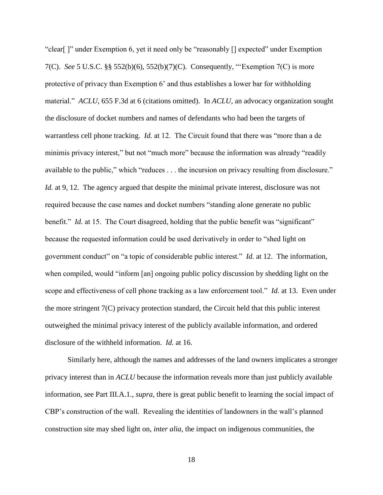"clear[ ]" under Exemption 6, yet it need only be "reasonably [] expected" under Exemption 7(C). *See* 5 U.S.C. §§ 552(b)(6), 552(b)(7)(C). Consequently, "'Exemption 7(C) is more protective of privacy than Exemption 6' and thus establishes a lower bar for withholding material." *ACLU*, 655 F.3d at 6 (citations omitted). In *ACLU*, an advocacy organization sought the disclosure of docket numbers and names of defendants who had been the targets of warrantless cell phone tracking. *Id.* at 12. The Circuit found that there was "more than a de minimis privacy interest," but not "much more" because the information was already "readily available to the public," which "reduces . . . the incursion on privacy resulting from disclosure." *Id.* at 9, 12. The agency argued that despite the minimal private interest, disclosure was not required because the case names and docket numbers "standing alone generate no public benefit." *Id.* at 15. The Court disagreed, holding that the public benefit was "significant" because the requested information could be used derivatively in order to "shed light on government conduct" on "a topic of considerable public interest." *Id.* at 12. The information, when compiled, would "inform [an] ongoing public policy discussion by shedding light on the scope and effectiveness of cell phone tracking as a law enforcement tool." *Id.* at 13. Even under the more stringent 7(C) privacy protection standard, the Circuit held that this public interest outweighed the minimal privacy interest of the publicly available information, and ordered disclosure of the withheld information. *Id.* at 16.

Similarly here, although the names and addresses of the land owners implicates a stronger privacy interest than in *ACLU* because the information reveals more than just publicly available information, see Part III.A.1., *supra*, there is great public benefit to learning the social impact of CBP's construction of the wall. Revealing the identities of landowners in the wall's planned construction site may shed light on, *inter alia*, the impact on indigenous communities, the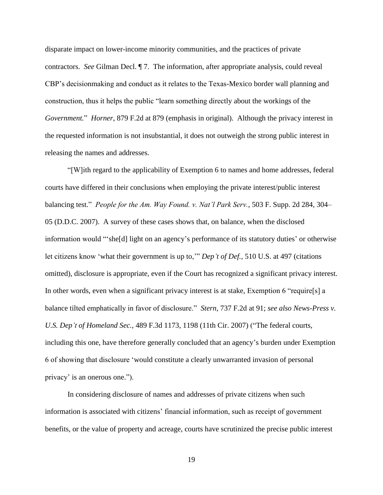disparate impact on lower-income minority communities, and the practices of private contractors. *See* Gilman Decl. ¶ 7. The information, after appropriate analysis, could reveal CBP's decisionmaking and conduct as it relates to the Texas-Mexico border wall planning and construction, thus it helps the public "learn something directly about the workings of the *Government.*" *Horner*, 879 F.2d at 879 (emphasis in original). Although the privacy interest in the requested information is not insubstantial, it does not outweigh the strong public interest in releasing the names and addresses.

"[W]ith regard to the applicability of Exemption 6 to names and home addresses, federal courts have differed in their conclusions when employing the private interest/public interest balancing test." *People for the Am. Way Found. v. Nat'l Park Serv.*, 503 F. Supp. 2d 284, 304– 05 (D.D.C. 2007). A survey of these cases shows that, on balance, when the disclosed information would "'she[d] light on an agency's performance of its statutory duties' or otherwise let citizens know 'what their government is up to,'" *Dep't of Def.,* 510 U.S. at 497 (citations omitted), disclosure is appropriate, even if the Court has recognized a significant privacy interest. In other words, even when a significant privacy interest is at stake, Exemption 6 "require[s] a balance tilted emphatically in favor of disclosure." *Stern*, 737 F.2d at 91; *see also News-Press v. U.S. Dep't of Homeland Sec.*, 489 F.3d 1173, 1198 (11th Cir. 2007) ("The federal courts, including this one, have therefore generally concluded that an agency's burden under Exemption 6 of showing that disclosure 'would constitute a clearly unwarranted invasion of personal privacy' is an onerous one.").

In considering disclosure of names and addresses of private citizens when such information is associated with citizens' financial information, such as receipt of government benefits, or the value of property and acreage, courts have scrutinized the precise public interest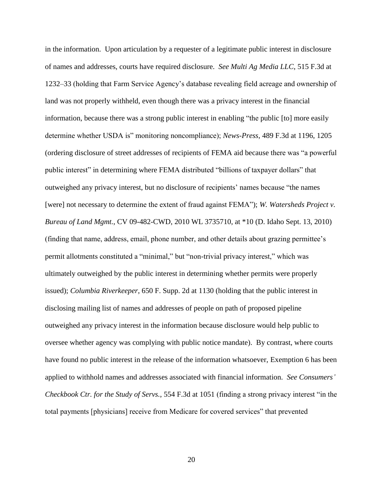in the information. Upon articulation by a requester of a legitimate public interest in disclosure of names and addresses, courts have required disclosure. *See Multi Ag Media LLC*, 515 F.3d at 1232–33 (holding that Farm Service Agency's database revealing field acreage and ownership of land was not properly withheld, even though there was a privacy interest in the financial information, because there was a strong public interest in enabling "the public [to] more easily determine whether USDA is" monitoring noncompliance); *News-Press*, 489 F.3d at 1196, 1205 (ordering disclosure of street addresses of recipients of FEMA aid because there was "a powerful public interest" in determining where FEMA distributed "billions of taxpayer dollars" that outweighed any privacy interest, but no disclosure of recipients' names because "the names [were] not necessary to determine the extent of fraud against FEMA"); *W. Watersheds Project v. Bureau of Land Mgmt.*, CV 09-482-CWD, 2010 WL 3735710, at \*10 (D. Idaho Sept. 13, 2010) (finding that name, address, email, phone number, and other details about grazing permittee's permit allotments constituted a "minimal," but "non-trivial privacy interest," which was ultimately outweighed by the public interest in determining whether permits were properly issued); *Columbia Riverkeeper*, 650 F. Supp. 2d at 1130 (holding that the public interest in disclosing mailing list of names and addresses of people on path of proposed pipeline outweighed any privacy interest in the information because disclosure would help public to oversee whether agency was complying with public notice mandate). By contrast, where courts have found no public interest in the release of the information whatsoever, Exemption 6 has been applied to withhold names and addresses associated with financial information. *See Consumers' Checkbook Ctr. for the Study of Servs.*, 554 F.3d at 1051 (finding a strong privacy interest "in the total payments [physicians] receive from Medicare for covered services" that prevented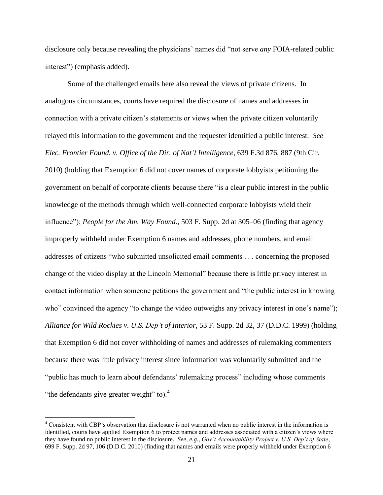disclosure only because revealing the physicians' names did "not serve *any* FOIA-related public interest") (emphasis added).

Some of the challenged emails here also reveal the views of private citizens. In analogous circumstances, courts have required the disclosure of names and addresses in connection with a private citizen's statements or views when the private citizen voluntarily relayed this information to the government and the requester identified a public interest. *See Elec. Frontier Found. v. Office of the Dir. of Nat'l Intelligence*, 639 F.3d 876, 887 (9th Cir. 2010) (holding that Exemption 6 did not cover names of corporate lobbyists petitioning the government on behalf of corporate clients because there "is a clear public interest in the public knowledge of the methods through which well-connected corporate lobbyists wield their influence"); *People for the Am. Way Found.*, 503 F. Supp. 2d at 305–06 (finding that agency improperly withheld under Exemption 6 names and addresses, phone numbers, and email addresses of citizens "who submitted unsolicited email comments . . . concerning the proposed change of the video display at the Lincoln Memorial" because there is little privacy interest in contact information when someone petitions the government and "the public interest in knowing who" convinced the agency "to change the video outweighs any privacy interest in one's name"); *Alliance for Wild Rockies v. U.S. Dep't of Interior*, 53 F. Supp. 2d 32, 37 (D.D.C. 1999) (holding that Exemption 6 did not cover withholding of names and addresses of rulemaking commenters because there was little privacy interest since information was voluntarily submitted and the "public has much to learn about defendants' rulemaking process" including whose comments "the defendants give greater weight" to). $4$ 

 $\overline{a}$ 

<sup>&</sup>lt;sup>4</sup> Consistent with CBP's observation that disclosure is not warranted when no public interest in the information is identified, courts have applied Exemption 6 to protect names and addresses associated with a citizen's views where they have found no public interest in the disclosure. *See, e.g.*, *Gov't Accountability Project v. U.S. Dep't of State*, 699 F. Supp. 2d 97, 106 (D.D.C. 2010) (finding that names and emails were properly withheld under Exemption 6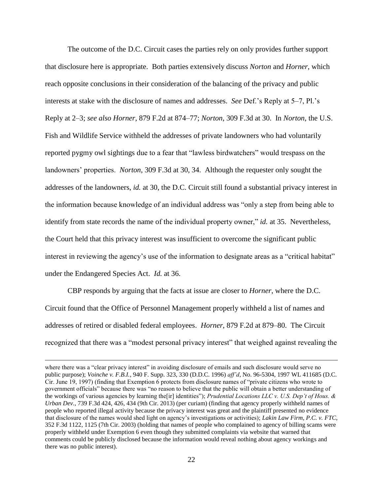The outcome of the D.C. Circuit cases the parties rely on only provides further support that disclosure here is appropriate. Both parties extensively discuss *Norton* and *Horner*, which reach opposite conclusions in their consideration of the balancing of the privacy and public interests at stake with the disclosure of names and addresses. *See* Def.'s Reply at 5–7, Pl.'s Reply at 2–3; *see also Horner*, 879 F.2d at 874–77; *Norton*, 309 F.3d at 30. In *Norton*, the U.S. Fish and Wildlife Service withheld the addresses of private landowners who had voluntarily reported pygmy owl sightings due to a fear that "lawless birdwatchers" would trespass on the landowners' properties. *Norton*, 309 F.3d at 30, 34. Although the requester only sought the addresses of the landowners, *id.* at 30, the D.C. Circuit still found a substantial privacy interest in the information because knowledge of an individual address was "only a step from being able to identify from state records the name of the individual property owner," *id.* at 35. Nevertheless, the Court held that this privacy interest was insufficient to overcome the significant public interest in reviewing the agency's use of the information to designate areas as a "critical habitat" under the Endangered Species Act. *Id.* at 36.

CBP responds by arguing that the facts at issue are closer to *Horner*, where the D.C. Circuit found that the Office of Personnel Management properly withheld a list of names and addresses of retired or disabled federal employees. *Horner*, 879 F.2d at 879–80. The Circuit recognized that there was a "modest personal privacy interest" that weighed against revealing the

 $\overline{a}$ 

where there was a "clear privacy interest" in avoiding disclosure of emails and such disclosure would serve no public purpose); *Voinche v. F.B.I.*, 940 F. Supp. 323, 330 (D.D.C. 1996) *aff'd*, No. 96-5304, 1997 WL 411685 (D.C. Cir. June 19, 1997) (finding that Exemption 6 protects from disclosure names of "private citizens who wrote to government officials" because there was "no reason to believe that the public will obtain a better understanding of the workings of various agencies by learning the[ir] identities"); *Prudential Locations LLC v. U.S. Dep't of Hous. & Urban Dev.*, 739 F.3d 424, 426, 434 (9th Cir. 2013) (per curiam) (finding that agency properly withheld names of people who reported illegal activity because the privacy interest was great and the plaintiff presented no evidence that disclosure of the names would shed light on agency's investigations or activities); *Lakin Law Firm, P.C. v. FTC*, 352 F.3d 1122, 1125 (7th Cir. 2003) (holding that names of people who complained to agency of billing scams were properly withheld under Exemption 6 even though they submitted complaints via website that warned that comments could be publicly disclosed because the information would reveal nothing about agency workings and there was no public interest).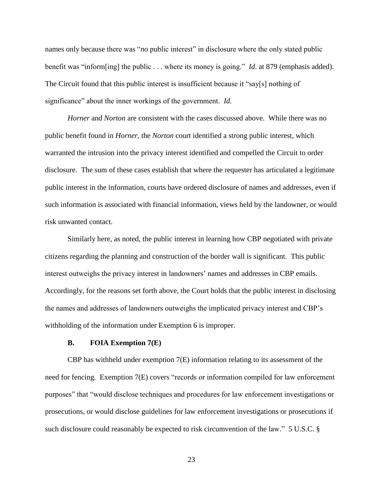names only because there was "*no* public interest" in disclosure where the only stated public benefit was "inform[ing] the public . . . where its money is going." *Id*. at 879 (emphasis added). The Circuit found that this public interest is insufficient because it "say[s] nothing of significance" about the inner workings of the government. *Id.*

*Horner* and *Norton* are consistent with the cases discussed above. While there was no public benefit found in *Horner*, the *Norton* court identified a strong public interest, which warranted the intrusion into the privacy interest identified and compelled the Circuit to order disclosure. The sum of these cases establish that where the requester has articulated a legitimate public interest in the information, courts have ordered disclosure of names and addresses, even if such information is associated with financial information, views held by the landowner, or would risk unwanted contact.

Similarly here, as noted, the public interest in learning how CBP negotiated with private citizens regarding the planning and construction of the border wall is significant. This public interest outweighs the privacy interest in landowners' names and addresses in CBP emails. Accordingly, for the reasons set forth above, the Court holds that the public interest in disclosing the names and addresses of landowners outweighs the implicated privacy interest and CBP's withholding of the information under Exemption 6 is improper.

## **B. FOIA Exemption 7(E)**

CBP has withheld under exemption 7(E) information relating to its assessment of the need for fencing. Exemption 7(E) covers "records or information compiled for law enforcement purposes" that "would disclose techniques and procedures for law enforcement investigations or prosecutions, or would disclose guidelines for law enforcement investigations or prosecutions if such disclosure could reasonably be expected to risk circumvention of the law." 5 U.S.C. §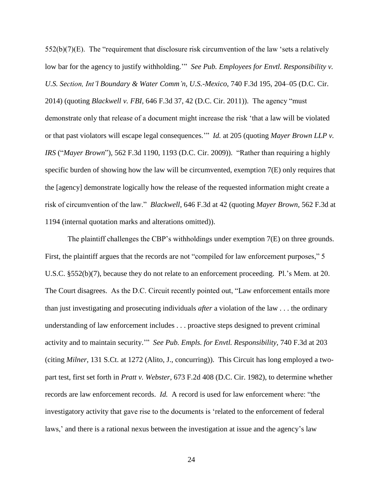552(b)(7)(E). The "requirement that disclosure risk circumvention of the law 'sets a relatively low bar for the agency to justify withholding.'" *See Pub. Employees for Envtl. Responsibility v. U.S. Section, Int'l Boundary & Water Comm'n, U.S.-Mexico*, 740 F.3d 195, 204–05 (D.C. Cir. 2014) (quoting *Blackwell v. FBI,* 646 F.3d 37, 42 (D.C. Cir. 2011)). The agency "must demonstrate only that release of a document might increase the risk 'that a law will be violated or that past violators will escape legal consequences.'" *Id.* at 205 (quoting *Mayer Brown LLP v. IRS* ("*Mayer Brown*")*,* 562 F.3d 1190, 1193 (D.C. Cir. 2009)). "Rather than requiring a highly specific burden of showing how the law will be circumvented, exemption 7(E) only requires that the [agency] demonstrate logically how the release of the requested information might create a risk of circumvention of the law." *Blackwell*, 646 F.3d at 42 (quoting *Mayer Brown*, 562 F.3d at 1194 (internal quotation marks and alterations omitted)).

The plaintiff challenges the CBP's withholdings under exemption 7(E) on three grounds. First, the plaintiff argues that the records are not "compiled for law enforcement purposes," 5 U.S.C. §552(b)(7), because they do not relate to an enforcement proceeding. Pl.'s Mem. at 20. The Court disagrees. As the D.C. Circuit recently pointed out, "Law enforcement entails more than just investigating and prosecuting individuals *after* a violation of the law . . . the ordinary understanding of law enforcement includes . . . proactive steps designed to prevent criminal activity and to maintain security.'" *See Pub. Empls. for Envtl. Responsibility*, 740 F.3d at 203 (citing *Milner,* 131 S.Ct. at 1272 (Alito, J., concurring)). This Circuit has long employed a twopart test, first set forth in *Pratt v. Webster*, 673 F.2d 408 (D.C. Cir. 1982), to determine whether records are law enforcement records. *Id.* A record is used for law enforcement where: "the investigatory activity that gave rise to the documents is 'related to the enforcement of federal laws,' and there is a rational nexus between the investigation at issue and the agency's law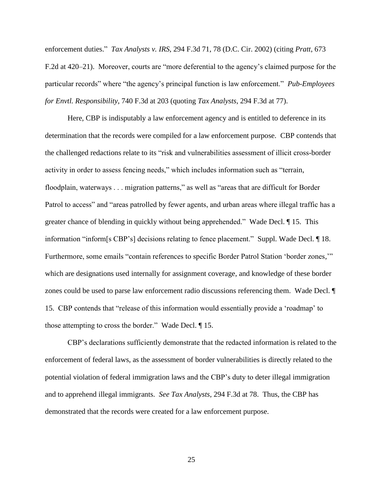enforcement duties." *Tax Analysts v. IRS*, 294 F.3d 71, 78 (D.C. Cir. 2002) (citing *Pratt*, 673 F.2d at 420–21). Moreover, courts are "more deferential to the agency's claimed purpose for the particular records" where "the agency's principal function is law enforcement." *Pub-Employees for Envtl. Responsibility*, 740 F.3d at 203 (quoting *Tax Analysts*, 294 F.3d at 77).

Here, CBP is indisputably a law enforcement agency and is entitled to deference in its determination that the records were compiled for a law enforcement purpose. CBP contends that the challenged redactions relate to its "risk and vulnerabilities assessment of illicit cross-border activity in order to assess fencing needs," which includes information such as "terrain, floodplain, waterways . . . migration patterns," as well as "areas that are difficult for Border Patrol to access" and "areas patrolled by fewer agents, and urban areas where illegal traffic has a greater chance of blending in quickly without being apprehended." Wade Decl. ¶ 15. This information "inform[s CBP's] decisions relating to fence placement." Suppl. Wade Decl. ¶ 18. Furthermore, some emails "contain references to specific Border Patrol Station 'border zones,'" which are designations used internally for assignment coverage, and knowledge of these border zones could be used to parse law enforcement radio discussions referencing them. Wade Decl. ¶ 15. CBP contends that "release of this information would essentially provide a 'roadmap' to those attempting to cross the border." Wade Decl. ¶ 15.

CBP's declarations sufficiently demonstrate that the redacted information is related to the enforcement of federal laws, as the assessment of border vulnerabilities is directly related to the potential violation of federal immigration laws and the CBP's duty to deter illegal immigration and to apprehend illegal immigrants. *See Tax Analysts*, 294 F.3d at 78. Thus, the CBP has demonstrated that the records were created for a law enforcement purpose.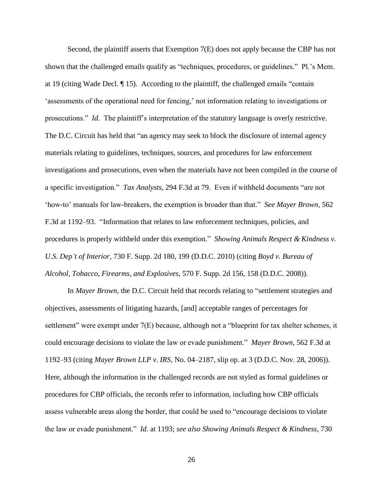Second, the plaintiff asserts that Exemption 7(E) does not apply because the CBP has not shown that the challenged emails qualify as "techniques, procedures, or guidelines." Pl.'s Mem. at 19 (citing Wade Decl. ¶ 15). According to the plaintiff, the challenged emails "contain 'assessments of the operational need for fencing,' not information relating to investigations or prosecutions." *Id.* The plaintiff's interpretation of the statutory language is overly restrictive. The D.C. Circuit has held that "an agency may seek to block the disclosure of internal agency materials relating to guidelines, techniques, sources, and procedures for law enforcement investigations and prosecutions, even when the materials have not been compiled in the course of a specific investigation." *Tax Analysts*, 294 F.3d at 79. Even if withheld documents "are not 'how-to' manuals for law-breakers, the exemption is broader than that." *See Mayer Brown*, 562 F.3d at 1192–93. "Information that relates to law enforcement techniques, policies, and procedures is properly withheld under this exemption." *Showing Animals Respect & Kindness v. U.S. Dep't of Interior*, 730 F. Supp. 2d 180, 199 (D.D.C. 2010) (citing *Boyd v. Bureau of Alcohol, Tobacco, Firearms, and Explosives,* 570 F. Supp. 2d 156, 158 (D.D.C. 2008)).

In *Mayer Brown*, the D.C. Circuit held that records relating to "settlement strategies and objectives, assessments of litigating hazards, [and] acceptable ranges of percentages for settlement" were exempt under 7(E) because, although not a "blueprint for tax shelter schemes, it could encourage decisions to violate the law or evade punishment." *Mayer Brown*, 562 F.3d at 1192–93 (citing *Mayer Brown LLP v. IRS,* No. 04–2187, slip op. at 3 (D.D.C. Nov. 28, 2006)). Here, although the information in the challenged records are not styled as formal guidelines or procedures for CBP officials, the records refer to information, including how CBP officials assess vulnerable areas along the border, that could be used to "encourage decisions to violate the law or evade punishment." *Id*. at 1193; *see also Showing Animals Respect & Kindness*, 730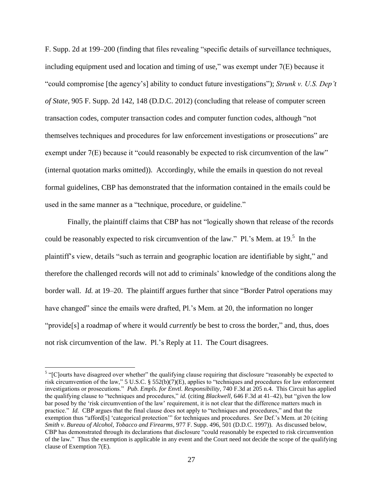F. Supp. 2d at 199–200 (finding that files revealing "specific details of surveillance techniques, including equipment used and location and timing of use," was exempt under 7(E) because it "could compromise [the agency's] ability to conduct future investigations"); *Strunk v. U.S. Dep't of State*, 905 F. Supp. 2d 142, 148 (D.D.C. 2012) (concluding that release of computer screen transaction codes, computer transaction codes and computer function codes, although "not themselves techniques and procedures for law enforcement investigations or prosecutions" are exempt under 7(E) because it "could reasonably be expected to risk circumvention of the law" (internal quotation marks omitted)). Accordingly, while the emails in question do not reveal formal guidelines, CBP has demonstrated that the information contained in the emails could be used in the same manner as a "technique, procedure, or guideline."

Finally, the plaintiff claims that CBP has not "logically shown that release of the records could be reasonably expected to risk circumvention of the law." Pl.'s Mem. at 19. $^5$  In the plaintiff's view, details "such as terrain and geographic location are identifiable by sight," and therefore the challenged records will not add to criminals' knowledge of the conditions along the border wall. *Id.* at 19–20. The plaintiff argues further that since "Border Patrol operations may have changed" since the emails were drafted, Pl.'s Mem. at 20, the information no longer "provide[s] a roadmap of where it would *currently* be best to cross the border," and, thus, does not risk circumvention of the law. Pl.'s Reply at 11. The Court disagrees.

<sup>&</sup>lt;sup>5</sup> "[C]ourts have disagreed over whether" the qualifying clause requiring that disclosure "reasonably be expected to risk circumvention of the law," 5 U.S.C. § 552(b)(7)(E), applies to "techniques and procedures for law enforcement investigations or prosecutions." *Pub. Empls*. *for Envtl. Responsibility*, 740 F.3d at 205 n.4. This Circuit has applied the qualifying clause to "techniques and procedures," *id.* (citing *Blackwell,* 646 F.3d at 41–42), but "given the low bar posed by the 'risk circumvention of the law' requirement, it is not clear that the difference matters much in practice." *Id.* CBP argues that the final clause does not apply to "techniques and procedures," and that the exemption thus "afford[s] 'categorical protection'" for techniques and procedures. *See* Def.'s Mem. at 20 (citing *Smith v. Bureau of Alcohol, Tobacco and Firearms*, 977 F. Supp. 496, 501 (D.D.C. 1997)). As discussed below, CBP has demonstrated through its declarations that disclosure "could reasonably be expected to risk circumvention of the law." Thus the exemption is applicable in any event and the Court need not decide the scope of the qualifying clause of Exemption 7(E).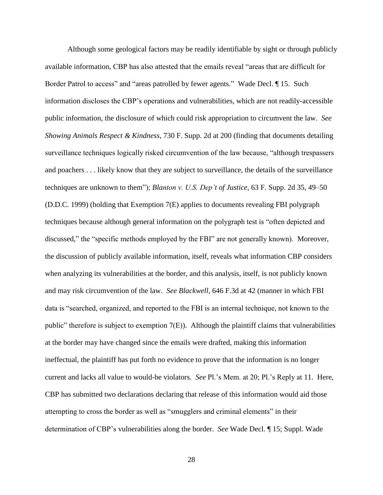Although some geological factors may be readily identifiable by sight or through publicly available information, CBP has also attested that the emails reveal "areas that are difficult for Border Patrol to access" and "areas patrolled by fewer agents." Wade Decl. ¶ 15. Such information discloses the CBP's operations and vulnerabilities, which are not readily-accessible public information, the disclosure of which could risk appropriation to circumvent the law. *See Showing Animals Respect & Kindness*, 730 F. Supp. 2d at 200 (finding that documents detailing surveillance techniques logically risked circumvention of the law because, "although trespassers and poachers . . . likely know that they are subject to surveillance, the details of the surveillance techniques are unknown to them"); *Blanton v. U.S. Dep't of Justice*, 63 F. Supp. 2d 35, 49–50 (D.D.C. 1999) (holding that Exemption 7(E) applies to documents revealing FBI polygraph techniques because although general information on the polygraph test is "often depicted and discussed," the "specific methods employed by the FBI" are not generally known). Moreover, the discussion of publicly available information, itself, reveals what information CBP considers when analyzing its vulnerabilities at the border, and this analysis, itself, is not publicly known and may risk circumvention of the law. *See Blackwell*, 646 F.3d at 42 (manner in which FBI data is "searched, organized, and reported to the FBI is an internal technique, not known to the public" therefore is subject to exemption  $7(E)$ ). Although the plaintiff claims that vulnerabilities at the border may have changed since the emails were drafted, making this information ineffectual, the plaintiff has put forth no evidence to prove that the information is no longer current and lacks all value to would-be violators. *See* Pl.'s Mem. at 20; Pl.'s Reply at 11. Here, CBP has submitted two declarations declaring that release of this information would aid those attempting to cross the border as well as "smugglers and criminal elements" in their determination of CBP's vulnerabilities along the border. *See* Wade Decl. ¶ 15; Suppl. Wade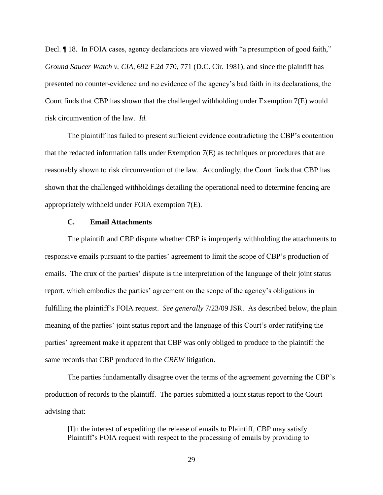Decl. ¶ 18. In FOIA cases, agency declarations are viewed with "a presumption of good faith," *Ground Saucer Watch v. CIA*, 692 F.2d 770, 771 (D.C. Cir. 1981), and since the plaintiff has presented no counter-evidence and no evidence of the agency's bad faith in its declarations, the Court finds that CBP has shown that the challenged withholding under Exemption 7(E) would risk circumvention of the law. *Id.*

The plaintiff has failed to present sufficient evidence contradicting the CBP's contention that the redacted information falls under Exemption 7(E) as techniques or procedures that are reasonably shown to risk circumvention of the law. Accordingly, the Court finds that CBP has shown that the challenged withholdings detailing the operational need to determine fencing are appropriately withheld under FOIA exemption 7(E).

#### **C. Email Attachments**

The plaintiff and CBP dispute whether CBP is improperly withholding the attachments to responsive emails pursuant to the parties' agreement to limit the scope of CBP's production of emails. The crux of the parties' dispute is the interpretation of the language of their joint status report, which embodies the parties' agreement on the scope of the agency's obligations in fulfilling the plaintiff's FOIA request. *See generally* 7/23/09 JSR. As described below, the plain meaning of the parties' joint status report and the language of this Court's order ratifying the parties' agreement make it apparent that CBP was only obliged to produce to the plaintiff the same records that CBP produced in the *CREW* litigation.

The parties fundamentally disagree over the terms of the agreement governing the CBP's production of records to the plaintiff. The parties submitted a joint status report to the Court advising that:

[I]n the interest of expediting the release of emails to Plaintiff, CBP may satisfy Plaintiff's FOIA request with respect to the processing of emails by providing to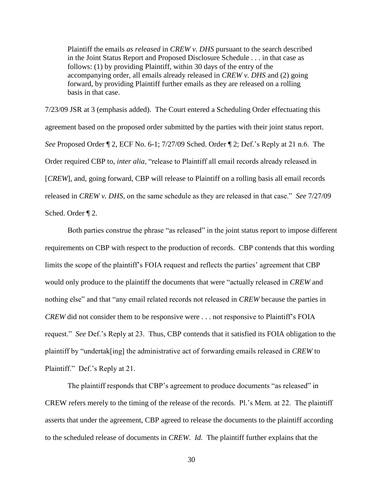Plaintiff the emails *as released* in *CREW v. DHS* pursuant to the search described in the Joint Status Report and Proposed Disclosure Schedule . . . in that case as follows: (1) by providing Plaintiff, within 30 days of the entry of the accompanying order, all emails already released in *CREW v. DHS* and (2) going forward, by providing Plaintiff further emails as they are released on a rolling basis in that case.

7/23/09 JSR at 3 (emphasis added). The Court entered a Scheduling Order effectuating this agreement based on the proposed order submitted by the parties with their joint status report. *See* Proposed Order ¶ 2, ECF No. 6-1; 7/27/09 Sched. Order ¶ 2; Def.'s Reply at 21 n.6. The Order required CBP to, *inter alia*, "release to Plaintiff all email records already released in [*CREW*], and, going forward, CBP will release to Plaintiff on a rolling basis all email records released in *CREW v. DHS*, on the same schedule as they are released in that case." *See* 7/27/09 Sched. Order ¶ 2.

Both parties construe the phrase "as released" in the joint status report to impose different requirements on CBP with respect to the production of records. CBP contends that this wording limits the scope of the plaintiff's FOIA request and reflects the parties' agreement that CBP would only produce to the plaintiff the documents that were "actually released in *CREW* and nothing else" and that "any email related records not released in *CREW* because the parties in *CREW* did not consider them to be responsive were . . . not responsive to Plaintiff's FOIA request." *See* Def.'s Reply at 23. Thus, CBP contends that it satisfied its FOIA obligation to the plaintiff by "undertak[ing] the administrative act of forwarding emails released in *CREW* to Plaintiff." Def.'s Reply at 21.

The plaintiff responds that CBP's agreement to produce documents "as released" in CREW refers merely to the timing of the release of the records. Pl.'s Mem. at 22. The plaintiff asserts that under the agreement, CBP agreed to release the documents to the plaintiff according to the scheduled release of documents in *CREW*. *Id.* The plaintiff further explains that the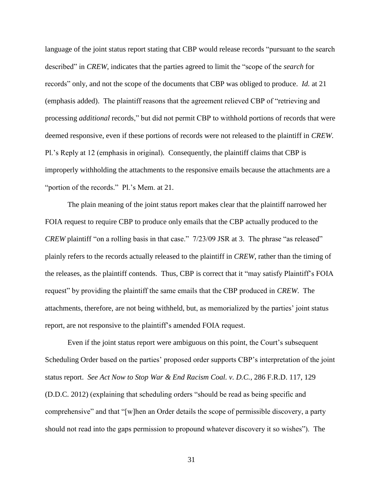language of the joint status report stating that CBP would release records "pursuant to the search described" in *CREW*, indicates that the parties agreed to limit the "scope of the *search* for records" only, and not the scope of the documents that CBP was obliged to produce. *Id.* at 21 (emphasis added).The plaintiff reasons that the agreement relieved CBP of "retrieving and processing *additional* records," but did not permit CBP to withhold portions of records that were deemed responsive, even if these portions of records were not released to the plaintiff in *CREW*. Pl.'s Reply at 12 (emphasis in original)*.* Consequently, the plaintiff claims that CBP is improperly withholding the attachments to the responsive emails because the attachments are a "portion of the records." Pl.'s Mem. at 21.

The plain meaning of the joint status report makes clear that the plaintiff narrowed her FOIA request to require CBP to produce only emails that the CBP actually produced to the *CREW* plaintiff "on a rolling basis in that case." 7/23/09 JSR at 3. The phrase "as released" plainly refers to the records actually released to the plaintiff in *CREW*, rather than the timing of the releases, as the plaintiff contends. Thus, CBP is correct that it "may satisfy Plaintiff's FOIA request" by providing the plaintiff the same emails that the CBP produced in *CREW*. The attachments, therefore, are not being withheld, but, as memorialized by the parties' joint status report, are not responsive to the plaintiff's amended FOIA request.

Even if the joint status report were ambiguous on this point, the Court's subsequent Scheduling Order based on the parties' proposed order supports CBP's interpretation of the joint status report. *See Act Now to Stop War & End Racism Coal. v. D.C.*, 286 F.R.D. 117, 129 (D.D.C. 2012) (explaining that scheduling orders "should be read as being specific and comprehensive" and that "[w]hen an Order details the scope of permissible discovery, a party should not read into the gaps permission to propound whatever discovery it so wishes"). The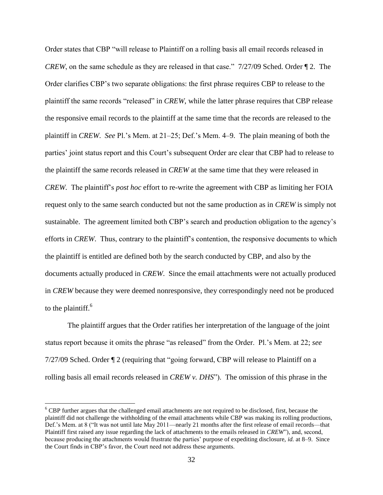Order states that CBP "will release to Plaintiff on a rolling basis all email records released in *CREW*, on the same schedule as they are released in that case." 7/27/09 Sched. Order  $\P$  2. The Order clarifies CBP's two separate obligations: the first phrase requires CBP to release to the plaintiff the same records "released" in *CREW*, while the latter phrase requires that CBP release the responsive email records to the plaintiff at the same time that the records are released to the plaintiff in *CREW*. *See* Pl.'s Mem. at 21–25; Def.'s Mem. 4–9. The plain meaning of both the parties' joint status report and this Court's subsequent Order are clear that CBP had to release to the plaintiff the same records released in *CREW* at the same time that they were released in *CREW*. The plaintiff's *post hoc* effort to re-write the agreement with CBP as limiting her FOIA request only to the same search conducted but not the same production as in *CREW* is simply not sustainable. The agreement limited both CBP's search and production obligation to the agency's efforts in *CREW*. Thus, contrary to the plaintiff's contention, the responsive documents to which the plaintiff is entitled are defined both by the search conducted by CBP, and also by the documents actually produced in *CREW*. Since the email attachments were not actually produced in *CREW* because they were deemed nonresponsive, they correspondingly need not be produced to the plaintiff. $6$ 

The plaintiff argues that the Order ratifies her interpretation of the language of the joint status report because it omits the phrase "as released" from the Order. Pl.'s Mem. at 22; *see* 7/27/09 Sched. Order ¶ 2 (requiring that "going forward, CBP will release to Plaintiff on a rolling basis all email records released in *CREW v. DHS*"). The omission of this phrase in the

 $\overline{a}$ 

<sup>6</sup> CBP further argues that the challenged email attachments are not required to be disclosed, first, because the plaintiff did not challenge the withholding of the email attachments while CBP was making its rolling productions, Def.'s Mem. at 8 ("It was not until late May 2011—nearly 21 months after the first release of email records—that Plaintiff first raised any issue regarding the lack of attachments to the emails released in *CREW*"), and, second, because producing the attachments would frustrate the parties' purpose of expediting disclosure, *id.* at 8–9. Since the Court finds in CBP's favor, the Court need not address these arguments.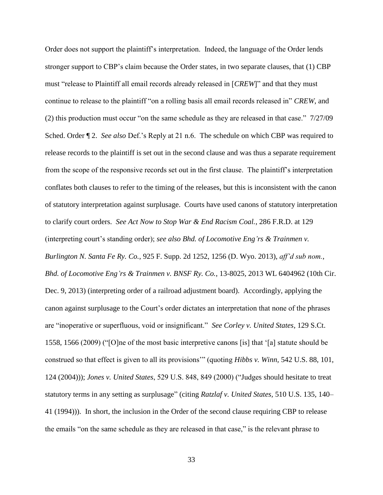Order does not support the plaintiff's interpretation. Indeed, the language of the Order lends stronger support to CBP's claim because the Order states, in two separate clauses, that (1) CBP must "release to Plaintiff all email records already released in [*CREW*]" and that they must continue to release to the plaintiff "on a rolling basis all email records released in" *CREW*, and (2) this production must occur "on the same schedule as they are released in that case." 7/27/09 Sched. Order ¶ 2. *See also* Def.'s Reply at 21 n.6. The schedule on which CBP was required to release records to the plaintiff is set out in the second clause and was thus a separate requirement from the scope of the responsive records set out in the first clause. The plaintiff's interpretation conflates both clauses to refer to the timing of the releases, but this is inconsistent with the canon of statutory interpretation against surplusage. Courts have used canons of statutory interpretation to clarify court orders. *See Act Now to Stop War & End Racism Coal.*, 286 F.R.D. at 129 (interpreting court's standing order); *see also Bhd. of Locomotive Eng'rs & Trainmen v. Burlington N. Santa Fe Ry. Co.*, 925 F. Supp. 2d 1252, 1256 (D. Wyo. 2013), *aff'd sub nom.*, *Bhd. of Locomotive Eng'rs & Trainmen v. BNSF Ry. Co.*, 13-8025, 2013 WL 6404962 (10th Cir. Dec. 9, 2013) (interpreting order of a railroad adjustment board). Accordingly, applying the canon against surplusage to the Court's order dictates an interpretation that none of the phrases are "inoperative or superfluous, void or insignificant." *See Corley v. United States*, 129 S.Ct. 1558, 1566 (2009) ("[O]ne of the most basic interpretive canons [is] that '[a] statute should be construed so that effect is given to all its provisions'" (quoting *Hibbs v. Winn,* 542 U.S. 88, 101, 124 (2004))); *Jones v. United States*, 529 U.S. 848, 849 (2000) ("Judges should hesitate to treat statutory terms in any setting as surplusage" (citing *Ratzlaf v. United States,* 510 U.S. 135, 140– 41 (1994))). In short, the inclusion in the Order of the second clause requiring CBP to release the emails "on the same schedule as they are released in that case," is the relevant phrase to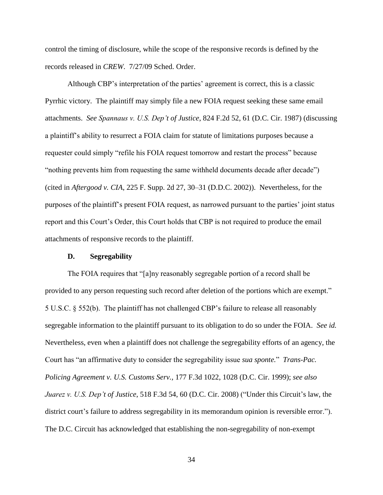control the timing of disclosure, while the scope of the responsive records is defined by the records released in *CREW*. 7/27/09 Sched. Order.

Although CBP's interpretation of the parties' agreement is correct, this is a classic Pyrrhic victory. The plaintiff may simply file a new FOIA request seeking these same email attachments. *See Spannaus v. U.S. Dep't of Justice*, 824 F.2d 52, 61 (D.C. Cir. 1987) (discussing a plaintiff's ability to resurrect a FOIA claim for statute of limitations purposes because a requester could simply "refile his FOIA request tomorrow and restart the process" because "nothing prevents him from requesting the same withheld documents decade after decade") (cited in *Aftergood v. CIA*, 225 F. Supp. 2d 27, 30–31 (D.D.C. 2002)). Nevertheless, for the purposes of the plaintiff's present FOIA request, as narrowed pursuant to the parties' joint status report and this Court's Order, this Court holds that CBP is not required to produce the email attachments of responsive records to the plaintiff.

#### **D. Segregability**

The FOIA requires that "[a]ny reasonably segregable portion of a record shall be provided to any person requesting such record after deletion of the portions which are exempt." 5 U.S.C. § 552(b). The plaintiff has not challenged CBP's failure to release all reasonably segregable information to the plaintiff pursuant to its obligation to do so under the FOIA. *See id.* Nevertheless, even when a plaintiff does not challenge the segregability efforts of an agency, the Court has "an affirmative duty to consider the segregability issue *sua sponte.*" *Trans-Pac. Policing Agreement v. U.S. Customs Serv.,* 177 F.3d 1022, 1028 (D.C. Cir. 1999); *see also Juarez v. U.S. Dep't of Justice*, 518 F.3d 54, 60 (D.C. Cir. 2008) ("Under this Circuit's law, the district court's failure to address segregability in its memorandum opinion is reversible error."). The D.C. Circuit has acknowledged that establishing the non-segregability of non-exempt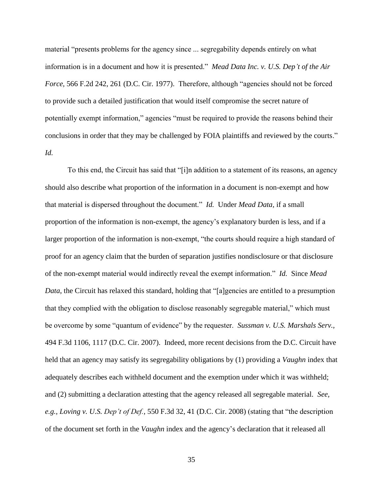material "presents problems for the agency since ... segregability depends entirely on what information is in a document and how it is presented." *Mead Data Inc. v. U.S. Dep't of the Air Force,* 566 F.2d 242, 261 (D.C. Cir. 1977). Therefore, although "agencies should not be forced to provide such a detailed justification that would itself compromise the secret nature of potentially exempt information," agencies "must be required to provide the reasons behind their conclusions in order that they may be challenged by FOIA plaintiffs and reviewed by the courts." *Id.*

To this end, the Circuit has said that "[i]n addition to a statement of its reasons, an agency should also describe what proportion of the information in a document is non-exempt and how that material is dispersed throughout the document." *Id.* Under *Mead Data,* if a small proportion of the information is non-exempt, the agency's explanatory burden is less, and if a larger proportion of the information is non-exempt, "the courts should require a high standard of proof for an agency claim that the burden of separation justifies nondisclosure or that disclosure of the non-exempt material would indirectly reveal the exempt information." *Id.* Since *Mead Data*, the Circuit has relaxed this standard, holding that "[a]gencies are entitled to a presumption that they complied with the obligation to disclose reasonably segregable material," which must be overcome by some "quantum of evidence" by the requester. *Sussman v. U.S. Marshals Serv.,* 494 F.3d 1106, 1117 (D.C. Cir. 2007). Indeed, more recent decisions from the D.C. Circuit have held that an agency may satisfy its segregability obligations by (1) providing a *Vaughn* index that adequately describes each withheld document and the exemption under which it was withheld; and (2) submitting a declaration attesting that the agency released all segregable material. *See, e.g., Loving v. U.S. Dep't of Def.*, 550 F.3d 32, 41 (D.C. Cir. 2008) (stating that "the description of the document set forth in the *Vaughn* index and the agency's declaration that it released all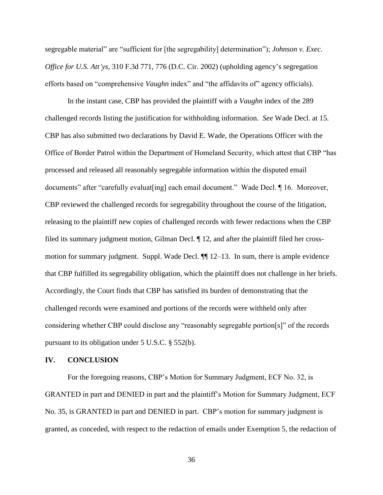segregable material" are "sufficient for [the segregability] determination"); *Johnson v. Exec. Office for U.S. Att'ys,* 310 F.3d 771, 776 (D.C. Cir. 2002) (upholding agency's segregation efforts based on "comprehensive *Vaughn* index" and "the affidavits of" agency officials).

In the instant case, CBP has provided the plaintiff with a *Vaughn* index of the 289 challenged records listing the justification for withholding information. *See* Wade Decl. at 15. CBP has also submitted two declarations by David E. Wade, the Operations Officer with the Office of Border Patrol within the Department of Homeland Security, which attest that CBP "has processed and released all reasonably segregable information within the disputed email documents" after "carefully evaluat [ing] each email document." Wade Decl. 16. Moreover, CBP reviewed the challenged records for segregability throughout the course of the litigation, releasing to the plaintiff new copies of challenged records with fewer redactions when the CBP filed its summary judgment motion, Gilman Decl. ¶ 12, and after the plaintiff filed her crossmotion for summary judgment. Suppl. Wade Decl. ¶¶ 12–13. In sum, there is ample evidence that CBP fulfilled its segregability obligation, which the plaintiff does not challenge in her briefs. Accordingly, the Court finds that CBP has satisfied its burden of demonstrating that the challenged records were examined and portions of the records were withheld only after considering whether CBP could disclose any "reasonably segregable portion[s]" of the records pursuant to its obligation under 5 U.S.C. § 552(b).

### **IV. CONCLUSION**

For the foregoing reasons, CBP's Motion for Summary Judgment, ECF No. 32, is GRANTED in part and DENIED in part and the plaintiff's Motion for Summary Judgment, ECF No. 35, is GRANTED in part and DENIED in part. CBP's motion for summary judgment is granted, as conceded, with respect to the redaction of emails under Exemption 5, the redaction of